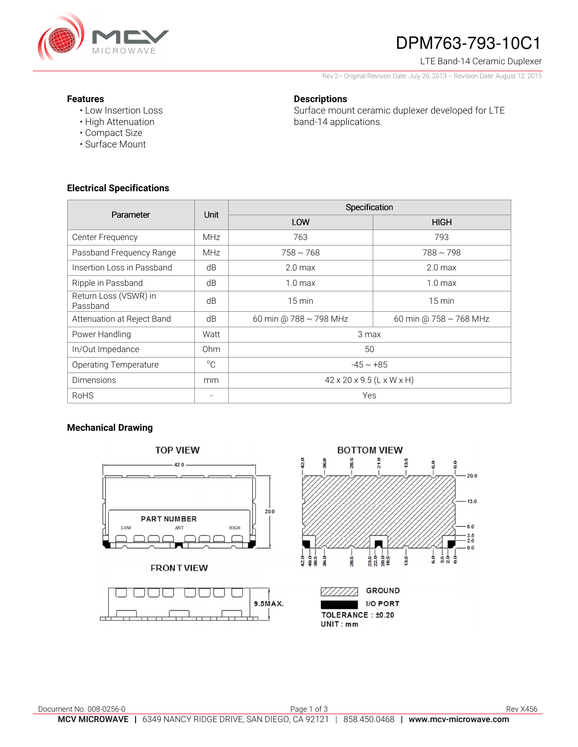

# DPM763-793-10C1

LTE Band-14 Ceramic Duplexer

Rev 2– Original Revision Date: July 29, 2013 – Revision Date: August 12, 2015

#### **Features**

• Low Insertion Loss • High Attenuation

• Compact Size • Surface Mount

## **Descriptions**

Surface mount ceramic duplexer developed for LTE band-14 applications.

### **Electrical Specifications**

| Parameter                         | <b>Unit</b>     | Specification                         |                        |
|-----------------------------------|-----------------|---------------------------------------|------------------------|
|                                   |                 | LOW                                   | <b>HIGH</b>            |
| Center Frequency                  | <b>MHz</b>      | 763                                   | 793                    |
| Passband Frequency Range          | <b>MHz</b>      | $758 \sim 768$                        | $788 \sim 798$         |
| Insertion Loss in Passband        | dB              | 2.0 <sub>max</sub>                    | 2.0 <sub>max</sub>     |
| Ripple in Passband                | dB              | 1.0 <sub>max</sub>                    | 1.0 <sub>max</sub>     |
| Return Loss (VSWR) in<br>Passband | dB              | $15 \text{ min}$                      | $15 \text{ min}$       |
| Attenuation at Reject Band        | dB              | 60 min @ 788 ~ 798 MHz                | 60 min @ 758 ~ 768 MHz |
| Power Handling                    | Watt            | 3 max                                 |                        |
| In/Out Impedance                  | 0 <sub>hm</sub> | 50                                    |                        |
| <b>Operating Temperature</b>      | $^{\circ}C$     | $-45 \sim +85$                        |                        |
| <b>Dimensions</b>                 | mm              | $42 \times 20 \times 9.5$ (L x W x H) |                        |
| <b>RoHS</b>                       | $\equiv$        | Yes                                   |                        |

## **Mechanical Drawing**





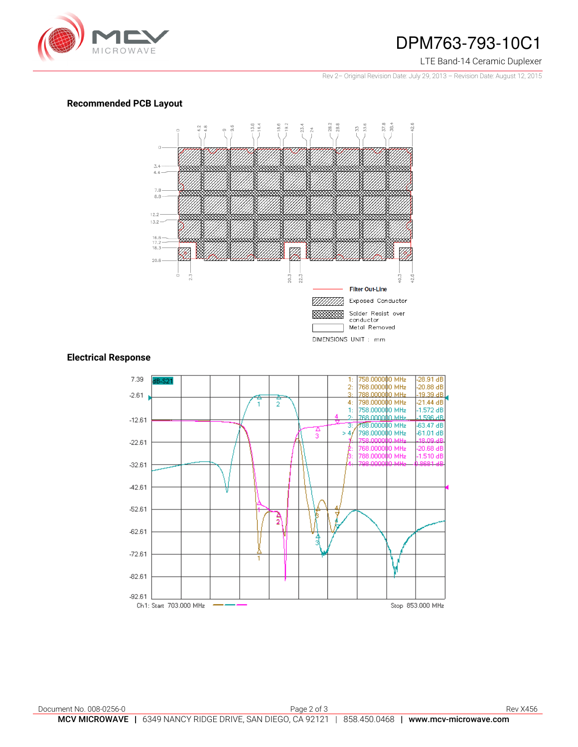

## DPM763-793-10C1

#### LTE Band-14 Ceramic Duplexer

Rev 2– Original Revision Date: July 29, 2013 – Revision Date: August 12, 2015

## **Recommended PCB Layout**



## **Electrical Response**